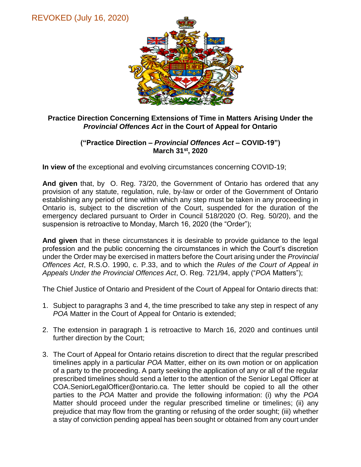

## **Practice Direction Concerning Extensions of Time in Matters Arising Under the**  *Provincial Offences Act* **in the Court of Appeal for Ontario**

## **("Practice Direction –** *Provincial Offences Act* **– COVID-19") March 31st, 2020**

**In view of** the exceptional and evolving circumstances concerning COVID-19;

**And given** that, by O. Reg. 73/20, the Government of Ontario has ordered that any provision of any statute, regulation, rule, by-law or order of the Government of Ontario establishing any period of time within which any step must be taken in any proceeding in Ontario is, subject to the discretion of the Court, suspended for the duration of the emergency declared pursuant to Order in Council 518/2020 (O. Reg. 50/20), and the suspension is retroactive to Monday, March 16, 2020 (the "Order");

**And given** that in these circumstances it is desirable to provide guidance to the legal profession and the public concerning the circumstances in which the Court's discretion under the Order may be exercised in matters before the Court arising under the *Provincial Offences Act*, R.S.O. 1990, c. P.33, and to which the *Rules of the Court of Appeal in Appeals Under the Provincial Offences Act*, O. Reg. 721/94, apply ("*POA* Matters");

The Chief Justice of Ontario and President of the Court of Appeal for Ontario directs that:

- 1. Subject to paragraphs 3 and 4, the time prescribed to take any step in respect of any *POA* Matter in the Court of Appeal for Ontario is extended;
- 2. The extension in paragraph 1 is retroactive to March 16, 2020 and continues until further direction by the Court;
- 3. The Court of Appeal for Ontario retains discretion to direct that the regular prescribed timelines apply in a particular *POA* Matter, either on its own motion or on application of a party to the proceeding. A party seeking the application of any or all of the regular prescribed timelines should send a letter to the attention of the Senior Legal Officer at COA.SeniorLegalOfficer@ontario.ca. The letter should be copied to all the other parties to the *POA* Matter and provide the following information: (i) why the *POA* Matter should proceed under the regular prescribed timeline or timelines; (ii) any prejudice that may flow from the granting or refusing of the order sought; (iii) whether a stay of conviction pending appeal has been sought or obtained from any court under